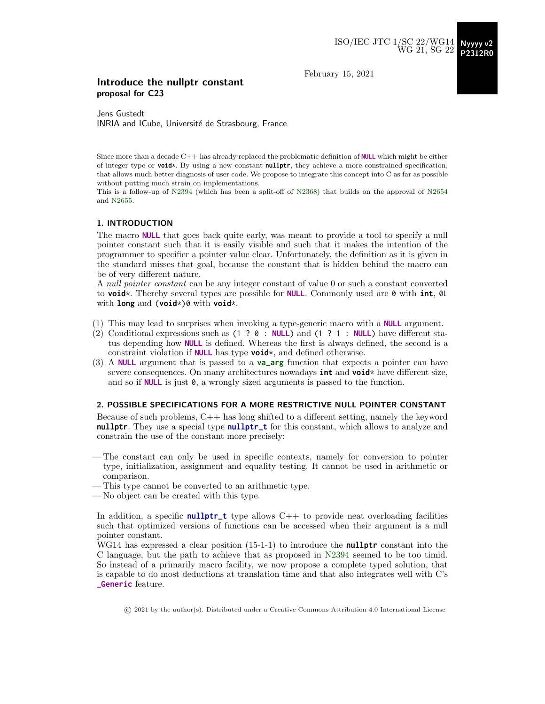February 15, 2021

#### Introduce the nullptr constant proposal for C23

Jens Gustedt INRIA and ICube, Université de Strasbourg, France

Since more than a decade C++ has already replaced the problematic definition of **NULL** which might be either of integer type or **void**\*. By using a new constant **nullptr**, they achieve a more constrained specification, that allows much better diagnosis of user code. We propose to integrate this concept into C as far as possible without putting much strain on implementations.

This is a follow-up of [N2394](http://www.open-std.org/jtc1/sc22/wg14/www/docs/n2394.pdf) (which has been a split-off of [N2368\)](http://www.open-std.org/jtc1/sc22/wg14/www/docs/n2368.pdf) that builds on the approval of [N2654](http://www.open-std.org/jtc1/sc22/wg14/www/docs/n2654.pdf) and [N2655.](http://www.open-std.org/jtc1/sc22/wg14/www/docs/n2655.pdf)

#### 1. INTRODUCTION

The macro **NULL** that goes back quite early, was meant to provide a tool to specify a null pointer constant such that it is easily visible and such that it makes the intention of the programmer to specifier a pointer value clear. Unfortunately, the definition as it is given in the standard misses that goal, because the constant that is hidden behind the macro can be of very different nature.

A null pointer constant can be any integer constant of value 0 or such a constant converted to **void**\*. Thereby several types are possible for **NULL**. Commonly used are 0 with **int**, 0L with **long** and (**void**\*)0 with **void**\*.

- (1) This may lead to surprises when invoking a type-generic macro with a **NULL** argument.
- (2) Conditional expressions such as (1 ? 0 : **NULL**) and (1 ? 1 : **NULL**) have different status depending how **NULL** is defined. Whereas the first is always defined, the second is a constraint violation if **NULL** has type **void**\*, and defined otherwise.
- (3) A **NULL** argument that is passed to a **va\_arg** function that expects a pointer can have severe consequences. On many architectures nowadays **int** and **void**\* have different size, and so if **NULL** is just 0, a wrongly sized arguments is passed to the function.

#### 2. POSSIBLE SPECIFICATIONS FOR A MORE RESTRICTIVE NULL POINTER CONSTANT

Because of such problems, C++ has long shifted to a different setting, namely the keyword **nullptr**. They use a special type **nullptr\_t** for this constant, which allows to analyze and constrain the use of the constant more precisely:

- The constant can only be used in specific contexts, namely for conversion to pointer type, initialization, assignment and equality testing. It cannot be used in arithmetic or comparison.
- This type cannot be converted to an arithmetic type.
- No object can be created with this type.

In addition, a specific **nullptr\_t** type allows C++ to provide neat overloading facilities such that optimized versions of functions can be accessed when their argument is a null pointer constant.

WG14 has expressed a clear position (15-1-1) to introduce the **nullptr** constant into the C language, but the path to achieve that as proposed in [N2394](http://www.open-std.org/jtc1/sc22/wg14/www/docs/n2394.pdf) seemed to be too timid. So instead of a primarily macro facility, we now propose a complete typed solution, that is capable to do most deductions at translation time and that also integrates well with C's **\_Generic** feature.

© 2021 by the author(s). Distributed under a Creative Commons Attribution 4.0 International License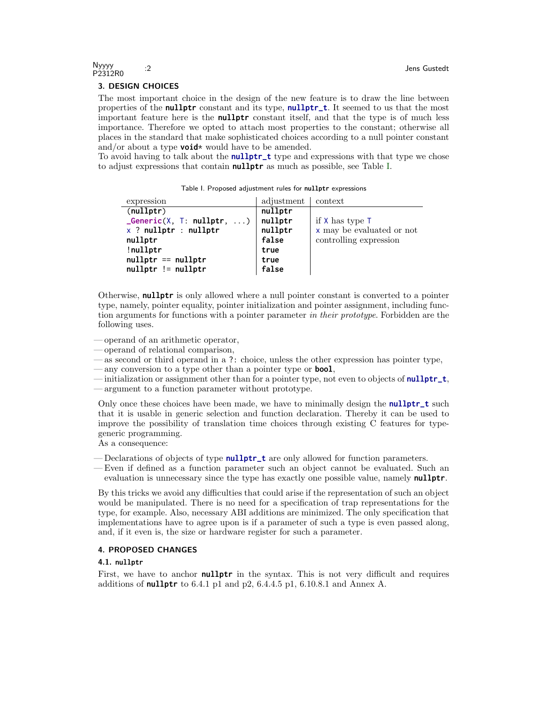#### 3. DESIGN CHOICES

The most important choice in the design of the new feature is to draw the line between properties of the **nullptr** constant and its type, **nullptr\_t**. It seemed to us that the most important feature here is the **nullptr** constant itself, and that the type is of much less importance. Therefore we opted to attach most properties to the constant; otherwise all places in the standard that make sophisticated choices according to a null pointer constant and/or about a type **void**\* would have to be amended.

To avoid having to talk about the **nullptr\_t** type and expressions with that type we chose to adjust expressions that contain **nullptr** as much as possible, see Table [I.](#page-1-0)

<span id="page-1-0"></span>Table I. Proposed adjustment rules for **nullptr** expressions

| expression                           | adjustment | context                               |
|--------------------------------------|------------|---------------------------------------|
| $\text{(nullptr)}$                   | nullptr    |                                       |
| ${\sf \_}Generator(X, T: nullptr, )$ | nullptr    | if $X$ has type $T$                   |
| $x$ ? nullptr : nullptr              | nullptr    | ${\mathsf x}$ may be evaluated or not |
| nullptr                              | false      | controlling expression                |
| !nullptr                             | true       |                                       |
| $nullptr == nullptr$                 | true       |                                       |
| $nullptr$ != $nullptr$               | false      |                                       |

Otherwise, **nullptr** is only allowed where a null pointer constant is converted to a pointer type, namely, pointer equality, pointer initialization and pointer assignment, including function arguments for functions with a pointer parameter in their prototype. Forbidden are the following uses.

- operand of an arithmetic operator,
- operand of relational comparison,
- as second or third operand in a ?: choice, unless the other expression has pointer type,
- any conversion to a type other than a pointer type or **bool**,
- initialization or assignment other than for a pointer type, not even to objects of **nullptr\_t**,
- argument to a function parameter without prototype.

Only once these choices have been made, we have to minimally design the **nullptr\_t** such that it is usable in generic selection and function declaration. Thereby it can be used to improve the possibility of translation time choices through existing C features for typegeneric programming.

As a consequence:

- Declarations of objects of type **nullptr\_t** are only allowed for function parameters.
- Even if defined as a function parameter such an object cannot be evaluated. Such an evaluation is unnecessary since the type has exactly one possible value, namely **nullptr**.

By this tricks we avoid any difficulties that could arise if the representation of such an object would be manipulated. There is no need for a specification of trap representations for the type, for example. Also, necessary ABI additions are minimized. The only specification that implementations have to agree upon is if a parameter of such a type is even passed along, and, if it even is, the size or hardware register for such a parameter.

#### 4. PROPOSED CHANGES

#### 4.1. **nullptr**

First, we have to anchor **nullptr** in the syntax. This is not very difficult and requires additions of **nullptr** to 6.4.1 p1 and p2, 6.4.4.5 p1, 6.10.8.1 and Annex A.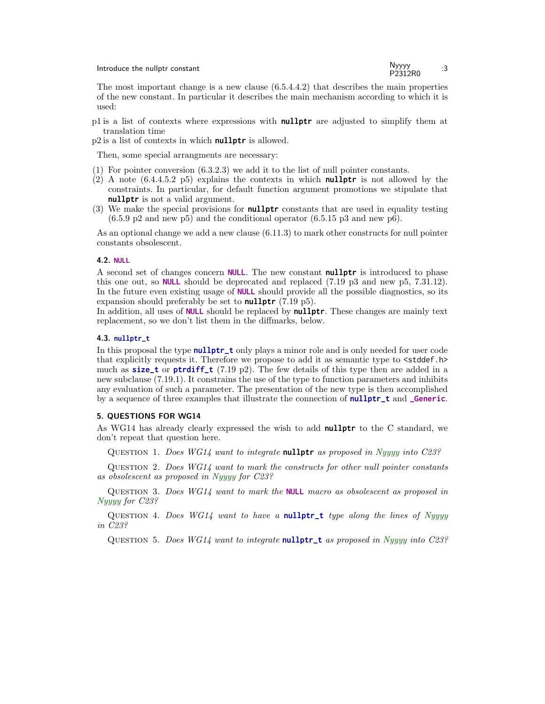| Introduce the nullptr constant | <b>Nyyyy</b><br>P2312R0 |  |
|--------------------------------|-------------------------|--|
|                                |                         |  |

The most important change is a new clause (6.5.4.4.2) that describes the main properties of the new constant. In particular it describes the main mechanism according to which it is used:

p1 is a list of contexts where expressions with **nullptr** are adjusted to simplify them at translation time

p2 is a list of contexts in which **nullptr** is allowed.

Then, some special arrangments are necessary:

- (1) For pointer conversion (6.3.2.3) we add it to the list of null pointer constants.
- (2) A note (6.4.4.5.2 p5) explains the contexts in which **nullptr** is not allowed by the constraints. In particular, for default function argument promotions we stipulate that **nullptr** is not a valid argument.
- (3) We make the special provisions for **nullptr** constants that are used in equality testing  $(6.5.9 \text{ p2}$  and new p5) and the conditional operator  $(6.5.15 \text{ p3}$  and new p6).

As an optional change we add a new clause (6.11.3) to mark other constructs for null pointer constants obsolescent.

#### 4.2. **NULL**

A second set of changes concern **NULL**. The new constant **nullptr** is introduced to phase this one out, so **NULL** should be deprecated and replaced (7.19 p3 and new p5, 7.31.12). In the future even existing usage of **NULL** should provide all the possible diagnostics, so its expansion should preferably be set to **nullptr** (7.19 p5).

In addition, all uses of **NULL** should be replaced by **nullptr**. These changes are mainly text replacement, so we don't list them in the diffmarks, below.

#### 4.3. **nullptr\_t**

In this proposal the type **nullptr\_t** only plays a minor role and is only needed for user code that explicitly requests it. Therefore we propose to add it as semantic type to  $\lt$  stddef.h> much as **size\_t** or **ptrdiff\_t** (7.19 p2). The few details of this type then are added in a new subclause (7.19.1). It constrains the use of the type to function parameters and inhibits any evaluation of such a parameter. The presentation of the new type is then accomplished by a sequence of three examples that illustrate the connection of **nullptr\_t** and **\_Generic**.

#### 5. QUESTIONS FOR WG14

As WG14 has already clearly expressed the wish to add **nullptr** to the C standard, we don't repeat that question here.

Question 1. Does WG14 want to integrate **nullptr** as proposed in [Nyyyy](http://www.open-std.org/jtc1/sc22/wg14/www/docs/nyyyy.pdf) into C23?

QUESTION 2. Does  $WGI4$  want to mark the constructs for other null pointer constants as obsolescent as proposed in [Nyyyy](http://www.open-std.org/jtc1/sc22/wg14/www/docs/nyyyy.pdf) for C23?

Question 3. Does WG14 want to mark the **NULL** macro as obsolescent as proposed in [Nyyyy](http://www.open-std.org/jtc1/sc22/wg14/www/docs/nyyyy.pdf) for C23?

Question 4. Does WG14 want to have a **nullptr\_t** type along the lines of [Nyyyy](http://www.open-std.org/jtc1/sc22/wg14/www/docs/nyyyy.pdf) in C23?

Question 5. Does WG14 want to integrate **nullptr\_t** as proposed in [Nyyyy](http://www.open-std.org/jtc1/sc22/wg14/www/docs/nyyyy.pdf) into C23?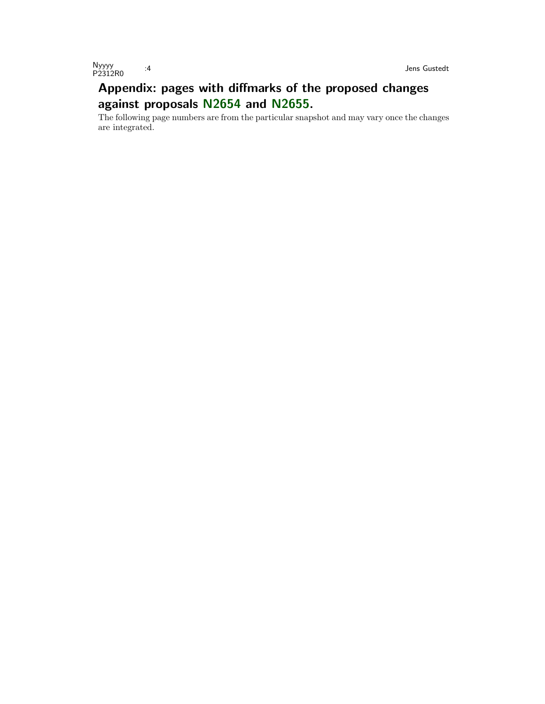# Appendix: pages with diffmarks of the proposed changes against proposals [N2654](http://www.open-std.org/jtc1/sc22/wg14/www/docs/n2654.pdf) and [N2655.](http://www.open-std.org/jtc1/sc22/wg14/www/docs/n2655.pdf)

The following page numbers are from the particular snapshot and may vary once the changes are integrated.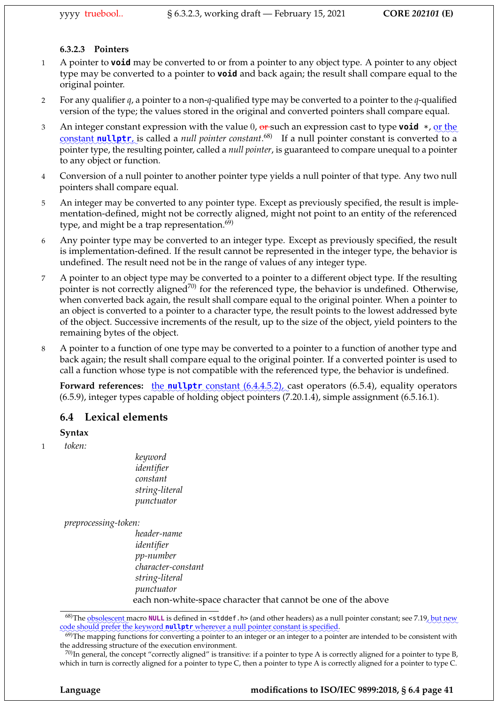## **6.3.2.3 Pointers**

- 1 A pointer to **void** may be converted to or from a pointer to any object type. A pointer to any object type may be converted to a pointer to **void** and back again; the result shall compare equal to the original pointer.
- 2 For any qualifier *q*, a pointer to a non-*q*-qualified type may be converted to a pointer to the *q*-qualified version of the type; the values stored in the original and converted pointers shall compare equal.
- 3 An integer constant expression with the value 0, <del>or</del> such an expression cast to type **void** \*, <u>or the</u> constant **nullptr**, is called a *null pointer constant*.<sup>68)</sup> If a null pointer constant is converted to a pointer type, the resulting pointer, called a *null pointer*, is guaranteed to compare unequal to a pointer to any object or function.
- 4 Conversion of a null pointer to another pointer type yields a null pointer of that type. Any two null pointers shall compare equal.
- 5 An integer may be converted to any pointer type. Except as previously specified, the result is implementation-defined, might not be correctly aligned, might not point to an entity of the referenced type, and might be a trap representation. $69$
- 6 Any pointer type may be converted to an integer type. Except as previously specified, the result is implementation-defined. If the result cannot be represented in the integer type, the behavior is undefined. The result need not be in the range of values of any integer type.
- 7 A pointer to an object type may be converted to a pointer to a different object type. If the resulting pointer is not correctly aligned<sup>70)</sup> for the referenced type, the behavior is undefined. Otherwise, when converted back again, the result shall compare equal to the original pointer. When a pointer to an object is converted to a pointer to a character type, the result points to the lowest addressed byte of the object. Successive increments of the result, up to the size of the object, yield pointers to the remaining bytes of the object.
- 8 A pointer to a function of one type may be converted to a pointer to a function of another type and back again; the result shall compare equal to the original pointer. If a converted pointer is used to call a function whose type is not compatible with the referenced type, the behavior is undefined.

**Forward references:** the **nullptr** constant  $(6.4.4.5.2)$ , cast operators (6.5.4), equality operators (6.5.9), integer types capable of holding object pointers (7.20.1.4), simple assignment (6.5.16.1).

## **6.4 Lexical elements**

## **Syntax**

1 *token:*

*keyword identifier constant string-literal punctuator*

*preprocessing-token:*

*header-name identifier pp-number character-constant string-literal punctuator* each non-white-space character that cannot be one of the above

<sup>&</sup>lt;sup>68)</sup>The <u>obsolescent</u> macro **NULL** is defined in <stddef.h> (and other headers) as a null pointer constant; see 7.19, but new code should prefer the keyword nullptr wherever a null pointer constant is specified.

 $^{69}$ )The mapping functions for converting a pointer to an integer or an integer to a pointer are intended to be consistent with the addressing structure of the execution environment.

 $^{70}$ In general, the concept "correctly aligned" is transitive: if a pointer to type A is correctly aligned for a pointer to type B, which in turn is correctly aligned for a pointer to type C, then a pointer to type A is correctly aligned for a pointer to type C.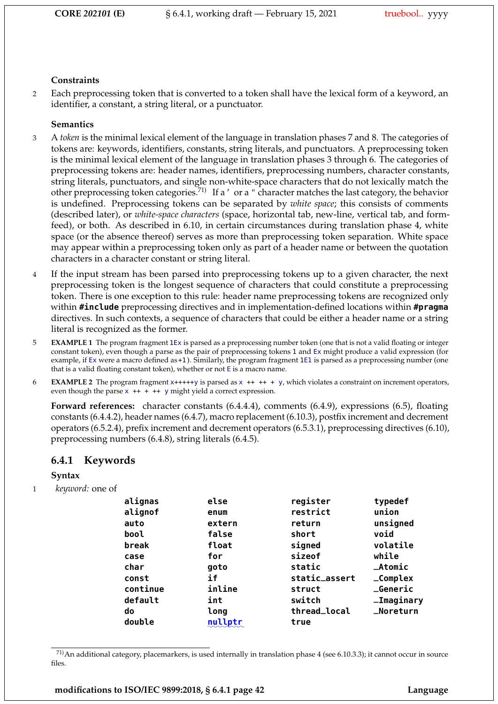#### **Constraints**

2 Each preprocessing token that is converted to a token shall have the lexical form of a keyword, an identifier, a constant, a string literal, or a punctuator.

## **Semantics**

- 3 A *token* is the minimal lexical element of the language in translation phases 7 and 8. The categories of tokens are: keywords, identifiers, constants, string literals, and punctuators. A preprocessing token is the minimal lexical element of the language in translation phases 3 through 6. The categories of preprocessing tokens are: header names, identifiers, preprocessing numbers, character constants, string literals, punctuators, and single non-white-space characters that do not lexically match the other preprocessing token categories.71) If a' or a " character matches the last category, the behavior is undefined. Preprocessing tokens can be separated by *white space*; this consists of comments (described later), or *white-space characters* (space, horizontal tab, new-line, vertical tab, and formfeed), or both. As described in 6.10, in certain circumstances during translation phase 4, white space (or the absence thereof) serves as more than preprocessing token separation. White space may appear within a preprocessing token only as part of a header name or between the quotation characters in a character constant or string literal.
- 4 If the input stream has been parsed into preprocessing tokens up to a given character, the next preprocessing token is the longest sequence of characters that could constitute a preprocessing token. There is one exception to this rule: header name preprocessing tokens are recognized only within **#include** preprocessing directives and in implementation-defined locations within **#pragma** directives. In such contexts, a sequence of characters that could be either a header name or a string literal is recognized as the former.
- 5 **EXAMPLE 1** The program fragment 1Ex is parsed as a preprocessing number token (one that is not a valid floating or integer constant token), even though a parse as the pair of preprocessing tokens 1 and Ex might produce a valid expression (for example, if Ex were a macro defined as+1). Similarly, the program fragment 1E1 is parsed as a preprocessing number (one that is a valid floating constant token), whether or not E is a macro name.
- 6 **EXAMPLE 2** The program fragment x+++++y is parsed as x ++ ++ + y, which violates a constraint on increment operators, even though the parse  $x$  ++ + ++ y might yield a correct expression.

**Forward references:** character constants (6.4.4.4), comments (6.4.9), expressions (6.5), floating constants (6.4.4.2), header names (6.4.7), macro replacement (6.10.3), postfix increment and decrement operators (6.5.2.4), prefix increment and decrement operators (6.5.3.1), preprocessing directives (6.10), preprocessing numbers (6.4.8), string literals (6.4.5).

## **6.4.1 Keywords**

## **Syntax**

1 *keyword:* one of

| alignas  | else    | register      | typedef             |
|----------|---------|---------------|---------------------|
| alignof  | enum    | restrict      | union               |
| auto     | extern  | return        | unsigned            |
| bool     | false   | short         | void                |
| break    | float   | signed        | volatile            |
| case     | for     | sizeof        | while               |
| char     | goto    | static        | $\_Atomic$          |
| const    | if      | static_assert | $_{_{_{}}}$ Complex |
| continue | inline  | struct        | <b>_Generic</b>     |
| default  | int     | switch        | <b>_Imaginary</b>   |
| do       | long    | thread_local  | _Noreturn           |
| double   | nullptr | true          |                     |

 $^{71}$ An additional category, placemarkers, is used internally in translation phase 4 (see 6.10.3.3); it cannot occur in source files.

**modifications to ISO/IEC 9899:2018, § 6.4.1 page 42 Language**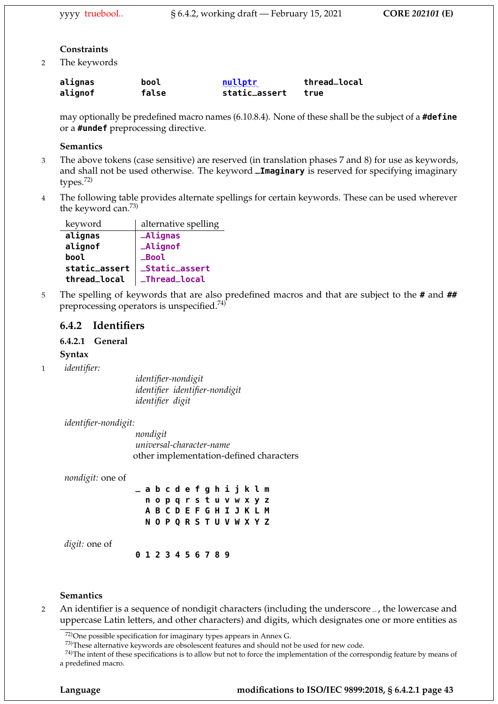#### **Constraints**

2 The keywords

| alignas | bool  | mullptr       | thread_local |
|---------|-------|---------------|--------------|
| alignof | false | static_assert | true         |

may optionally be predefined macro names (6.10.8.4). None of these shall be the subject of a **#define** or a **#undef** preprocessing directive.

#### **Semantics**

- 3 The above tokens (case sensitive) are reserved (in translation phases 7 and 8) for use as keywords, and shall not be used otherwise. The keyword **\_Imaginary** is reserved for specifying imaginary types.72)
- 4 The following table provides alternate spellings for certain keywords. These can be used wherever the keyword can.73)

| keyword       | alternative spelling |
|---------------|----------------------|
| alignas       | <b>_Alignas</b>      |
| alignof       | _Alignof             |
| bool          | <b>Bool</b>          |
| static_assert | _Static_assert       |
| thread_local  | _Thread_local        |

5 The spelling of keywords that are also predefined macros and that are subject to the **#** and **##** preprocessing operators is unspecified.74)

## **6.4.2 Identifiers**

## **6.4.2.1 General**

#### **Syntax**

1 *identifier:*

*identifier-nondigit identifier identifier-nondigit identifier digit*

#### *identifier-nondigit:*

*nondigit universal-character-name* other implementation-defined characters

*nondigit:* one of

|  |  | _abcdefghijklm            |  |  |  |  |
|--|--|---------------------------|--|--|--|--|
|  |  | nopqrstuvwxyz             |  |  |  |  |
|  |  | A B C D E F G H I J K L M |  |  |  |  |
|  |  | N O P Q R S T U V W X Y Z |  |  |  |  |

*digit:* one of

**0 1 2 3 4 5 6 7 8 9**

#### **Semantics**

<sup>2</sup> An identifier is a sequence of nondigit characters (including the underscore \_, the lowercase and uppercase Latin letters, and other characters) and digits, which designates one or more entities as

<sup>72)</sup>One possible specification for imaginary types appears in Annex G.

<sup>73)</sup>These alternative keywords are obsolescent features and should not be used for new code.

 $74$ )The intent of these specifications is to allow but not to force the implementation of the correspondig feature by means of a predefined macro.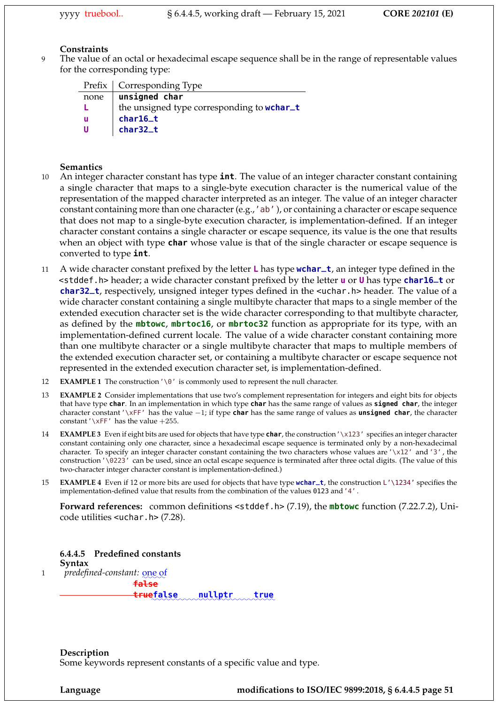## **Constraints**

9 The value of an octal or hexadecimal escape sequence shall be in the range of representable values for the corresponding type:

|      | Prefix   Corresponding Type                |
|------|--------------------------------------------|
| none | unsigned char                              |
|      | the unsigned type corresponding to wchar_t |
| u    | char16_t                                   |
| U    | char32_t                                   |

#### **Semantics**

- 10 An integer character constant has type **int**. The value of an integer character constant containing a single character that maps to a single-byte execution character is the numerical value of the representation of the mapped character interpreted as an integer. The value of an integer character constant containing more than one character (e.g., 'ab'), or containing a character or escape sequence that does not map to a single-byte execution character, is implementation-defined. If an integer character constant contains a single character or escape sequence, its value is the one that results when an object with type **char** whose value is that of the single character or escape sequence is converted to type **int**.
- <sup>11</sup> A wide character constant prefixed by the letter **L** has type **wchar\_t**, an integer type defined in the <stddef.h> header; a wide character constant prefixed by the letter **u** or **U** has type **char16\_t** or **char32\_t**, respectively, unsigned integer types defined in the <uchar.h> header. The value of a wide character constant containing a single multibyte character that maps to a single member of the extended execution character set is the wide character corresponding to that multibyte character, as defined by the **mbtowc**, **mbrtoc16**, or **mbrtoc32** function as appropriate for its type, with an implementation-defined current locale. The value of a wide character constant containing more than one multibyte character or a single multibyte character that maps to multiple members of the extended execution character set, or containing a multibyte character or escape sequence not represented in the extended execution character set, is implementation-defined.
- 12 **EXAMPLE 1** The construction'\0' is commonly used to represent the null character.
- 13 **EXAMPLE 2** Consider implementations that use two's complement representation for integers and eight bits for objects that have type **char**. In an implementation in which type **char** has the same range of values as **signed char**, the integer character constant'\xFF' has the value −1; if type **char** has the same range of values as **unsigned char**, the character constant '\xFF' has the value  $+255$ .
- 14 **EXAMPLE 3** Even if eight bits are used for objects that have type **char**, the construction'\x123' specifies an integer character constant containing only one character, since a hexadecimal escape sequence is terminated only by a non-hexadecimal character. To specify an integer character constant containing the two characters whose values are '\x12' and'3' , the construction'\0223' can be used, since an octal escape sequence is terminated after three octal digits. (The value of this two-character integer character constant is implementation-defined.)
- 15 **EXAMPLE 4** Even if 12 or more bits are used for objects that have type **wchar\_t**, the construction L'\1234' specifies the implementation-defined value that results from the combination of the values 0123 and'4' .

**Forward references:** common definitions <stddef.h> (7.19), the **mbtowc** function (7.22.7.2), Unicode utilities <uchar.h> (7.28).

**true**

**6.4.4.5 Predefined constants Syntax** 1 predefined-constant: <u>one o</u>f **false** truefalse **false** mullptr true

**Description** Some keywords represent constants of a specific value and type.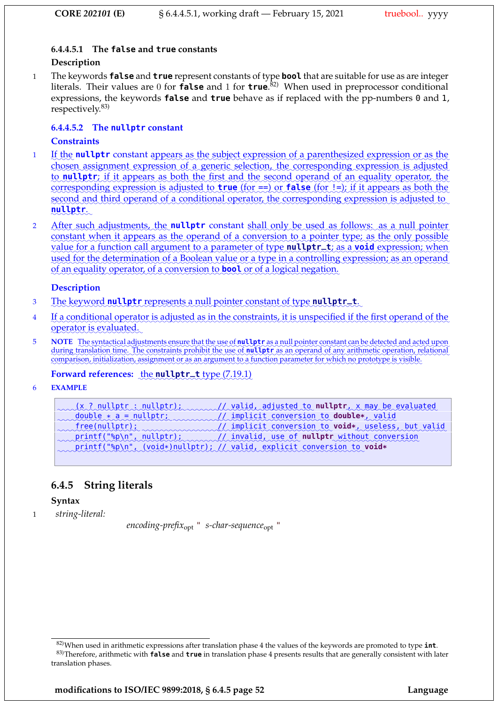## **6.4.4.5.1 The false and true constants**

#### **Description**

1 The keywords **false** and **true** represent constants of type **bool** that are suitable for use as are integer literals. Their values are 0 for **false** and 1 for **true**. 82) When used in preprocessor conditional expressions, the keywords **false** and **true** behave as if replaced with the pp-numbers 0 and 1, respectively.83)

## **6.4.4.5.2 The nullptr constant**

## **Constraints**

- 1 If the nullptr constant appears as the subject expression of a parenthesized expression or as the chosen assignment expression of a generic selection, the corresponding expression is adjusted ✿✿ ✿✿ ✿✿ ✿✿✿✿✿✿✿✿ ✿✿ ✿✿✿✿✿ ✿✿✿✿ ✿✿✿✿ ✿✿✿✿✿✿✿ ✿✿✿ ✿✿✿✿ to **nullptr**; if it appears as both the first and the second operand of an equality operator, the corresponding expression is adjusted to **true** (for ==) or **false** (for !=); if it appears as both the second and third operand of a conditional operator, the corresponding expression is adjusted to <mark>nullptr</mark>.
- $\overline{2}$ After such adjustments, the **nullptr** constant shall only be used as follows: as a null pointer constant when it appears as the operand of a conversion to a pointer type; as the only possible value for a function call argument to a parameter of type nullptr\_t; as a void expression; when used for the determination of a Boolean value or a type in a controlling expression; as an operand of an equality operator, of a conversion to **bool** or of a logical negation.

## **Description**

- 3 The keyword nullptr represents a null pointer constant of type nullptr\_t.
- 4 If a conditional operator is adjusted as in the constraints, it is unspecified if the first operand of the operator is evaluated.
- 5 NOTE The syntactical adjustments ensure that the use of **nullptr** as a null pointer constant can be detected and acted upon ✿✿✿ ✿✿✿✿✿✿✿ ✿✿✿✿✿✿✿✿✿ ✿✿✿✿✿ ✿✿✿ ✿✿✿ ✿✿✿ ✿ ✿✿✿✿✿✿✿ ✿✿ ✿ ✿✿✿ ✿✿✿✿✿ ✿✿✿✿✿✿✿ ✿✿ ✿✿ ✿✿✿✿✿✿✿ ✿✿✿ ✿✿✿✿ ✿✿✿✿ during translation time. The constraints prohibit the use of nullptr as an operand of any arithmetic operation, relational comparison, initialization, assignment or as an argument to a function parameter for which no prototype is visible.

# Forward references: the nullptr\_t type (7.19.1)

6 **EXAMPLE**

| (x ? nullptr : nullptr); valid, adjusted to nullptr, x may be evaluated            |
|------------------------------------------------------------------------------------|
| double * a = nullptr;<br>mplicit conversion to <b>double*</b> , valid              |
| free(nullptr); manufact conversion to void*, useless, but valid                    |
| printf("%p\n", nullptr); encoded invalid, use of <b>nullptr</b> without conversion |
| printf("%p\n", (void*)nullptr); // valid, explicit conversion to void*             |

# **6.4.5 String literals**

## **Syntax**

1 *string-literal:*

*encoding-prefix*opt " *s-char-sequence*opt "

**modifications to ISO/IEC 9899:2018, § 6.4.5 page 52 Language**

<sup>82)</sup>When used in arithmetic expressions after translation phase 4 the values of the keywords are promoted to type **int**. 83)Therefore, arithmetic with **false** and **true** in translation phase 4 presents results that are generally consistent with later translation phases.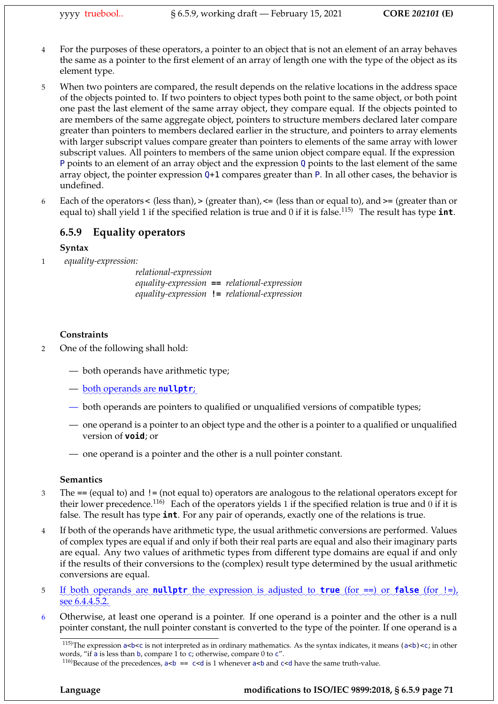- 4 For the purposes of these operators, a pointer to an object that is not an element of an array behaves the same as a pointer to the first element of an array of length one with the type of the object as its element type.
- 5 When two pointers are compared, the result depends on the relative locations in the address space of the objects pointed to. If two pointers to object types both point to the same object, or both point one past the last element of the same array object, they compare equal. If the objects pointed to are members of the same aggregate object, pointers to structure members declared later compare greater than pointers to members declared earlier in the structure, and pointers to array elements with larger subscript values compare greater than pointers to elements of the same array with lower subscript values. All pointers to members of the same union object compare equal. If the expression P points to an element of an array object and the expression Q points to the last element of the same array object, the pointer expression Q+1 compares greater than P. In all other cases, the behavior is undefined.
- 6 Each of the operators < (less than), > (greater than), <= (less than or equal to), and >= (greater than or equal to) shall yield 1 if the specified relation is true and 0 if it is false.<sup>115)</sup> The result has type **int**.

# **6.5.9 Equality operators**

## **Syntax**

1 *equality-expression:*

*relational-expression equality-expression* **==** *relational-expression equality-expression* **!=** *relational-expression*

## **Constraints**

- 2 One of the following shall hold:
	- both operands have arithmetic type;
	- <u>both operands are **nullptr**;</u>
	- both operands are pointers to qualified or unqualified versions of compatible types;
	- one operand is a pointer to an object type and the other is a pointer to a qualified or unqualified version of **void**; or
	- one operand is a pointer and the other is a null pointer constant.

## **Semantics**

- 3 The == (equal to) and != (not equal to) operators are analogous to the relational operators except for their lower precedence.<sup>116)</sup> Each of the operators yields 1 if the specified relation is true and 0 if it is false. The result has type **int**. For any pair of operands, exactly one of the relations is true.
- 4 If both of the operands have arithmetic type, the usual arithmetic conversions are performed. Values of complex types are equal if and only if both their real parts are equal and also their imaginary parts are equal. Any two values of arithmetic types from different type domains are equal if and only if the results of their conversions to the (complex) result type determined by the usual arithmetic conversions are equal.
- 5 If both operands are **nullptr** the expression is adjusted to **true** (for ==) or **false** (for !=),  $\frac{\sec 6.4.4.5.2}{2}$
- 6 Otherwise, at least one operand is a pointer. If one operand is a pointer and the other is a null pointer constant, the null pointer constant is converted to the type of the pointer. If one operand is a

<sup>&</sup>lt;sup>115)</sup>The expression a<br/>sls not interpreted as in ordinary mathematics. As the syntax indicates, it means (a<br/>sls) <c; in other words, "if a is less than b, compare 1 to c; otherwise, compare 0 to c".

<sup>&</sup>lt;sup>116</sup>)Because of the precedences,  $a < b$  == c<d is 1 whenever  $a < b$  and c<d have the same truth-value.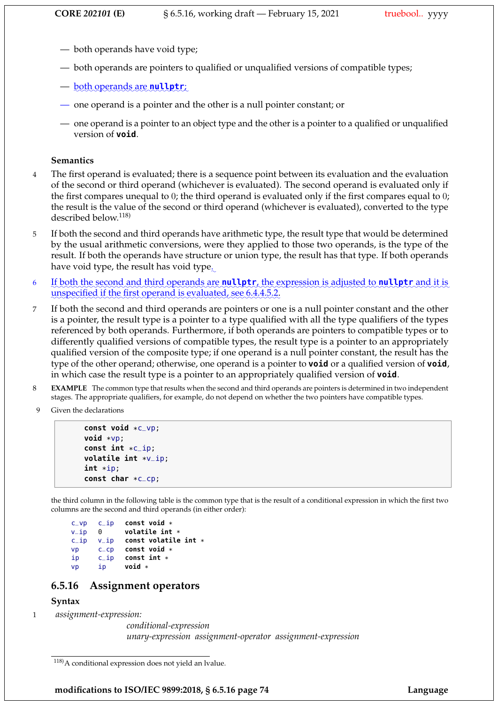- both operands have void type;
- both operands are pointers to qualified or unqualified versions of compatible types;
- <u>both operands are **nullptr**;</u>
- one operand is a pointer and the other is a null pointer constant; or
- one operand is a pointer to an object type and the other is a pointer to a qualified or unqualified version of **void**.

#### **Semantics**

- 4 The first operand is evaluated; there is a sequence point between its evaluation and the evaluation of the second or third operand (whichever is evaluated). The second operand is evaluated only if the first compares unequal to 0; the third operand is evaluated only if the first compares equal to 0; the result is the value of the second or third operand (whichever is evaluated), converted to the type described below.<sup>118)</sup>
- 5 If both the second and third operands have arithmetic type, the result type that would be determined by the usual arithmetic conversions, were they applied to those two operands, is the type of the result. If both the operands have structure or union type, the result has that type. If both operands have void type, the result has void type. $\Box$
- 6 If both the second and third operands are **nullptr**, the expression is adjusted to **nullptr** and it is unspecified if the first operand is evaluated, see 6.4.4.5.2.
- 7 If both the second and third operands are pointers or one is a null pointer constant and the other is a pointer, the result type is a pointer to a type qualified with all the type qualifiers of the types referenced by both operands. Furthermore, if both operands are pointers to compatible types or to differently qualified versions of compatible types, the result type is a pointer to an appropriately qualified version of the composite type; if one operand is a null pointer constant, the result has the type of the other operand; otherwise, one operand is a pointer to **void** or a qualified version of **void**, in which case the result type is a pointer to an appropriately qualified version of **void**.
- 8 **EXAMPLE** The common type that results when the second and third operands are pointers is determined in two independent stages. The appropriate qualifiers, for example, do not depend on whether the two pointers have compatible types.
- 9 Given the declarations

```
const void *c_vp;
void *vp;
const int *c_ip;
volatile int *v_ip;
int *ip;
const char *c_cp;
```
the third column in the following table is the common type that is the result of a conditional expression in which the first two columns are the second and third operands (in either order):

```
c_vp c_ip const void *
v_ip 0 volatile int *
c_ip v_ip const volatile int *
vp c_cp const void *
ip c_ip const int *
vp ip void *
```
## **6.5.16 Assignment operators**

## **Syntax**

1 *assignment-expression:*

*conditional-expression unary-expression assignment-operator assignment-expression*

**modifications to ISO/IEC 9899:2018, § 6.5.16 page 74 Language**

<sup>118)</sup>A conditional expression does not yield an lvalue.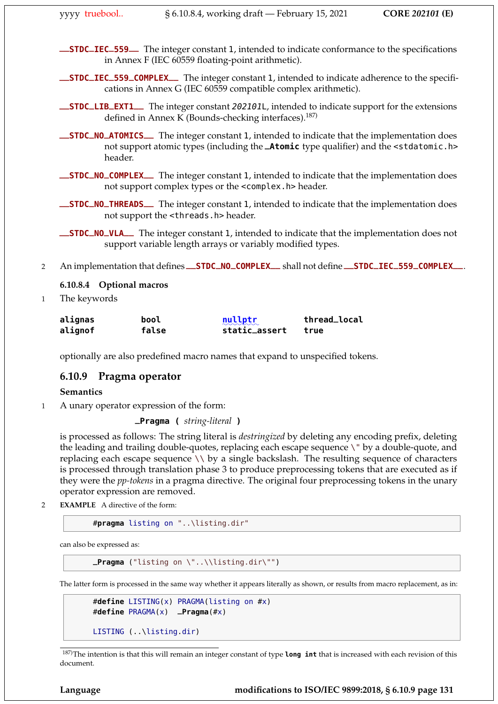**\_\_STDC\_IEC\_559\_\_** The integer constant 1, intended to indicate conformance to the specifications in Annex F (IEC 60559 floating-point arithmetic).

- **\_\_STDC\_IEC\_559\_COMPLEX\_\_** The integer constant 1, intended to indicate adherence to the specifications in Annex G (IEC 60559 compatible complex arithmetic).
- **\_\_STDC\_LIB\_EXT1\_\_** The integer constant 202101L, intended to indicate support for the extensions defined in Annex K (Bounds-checking interfaces). $187$ )
- **\_\_STDC\_NO\_ATOMICS\_\_** The integer constant 1, intended to indicate that the implementation does not support atomic types (including the **\_Atomic** type qualifier) and the <stdatomic.h> header.
- **\_\_STDC\_NO\_COMPLEX\_\_** The integer constant 1, intended to indicate that the implementation does not support complex types or the <complex.h> header.
- **\_\_STDC\_NO\_THREADS\_\_** The integer constant 1, intended to indicate that the implementation does not support the <threads.h> header.

**\_\_STDC\_NO\_VLA\_\_** The integer constant 1, intended to indicate that the implementation does not support variable length arrays or variably modified types.

<sup>2</sup> An implementation that defines **\_\_STDC\_NO\_COMPLEX\_\_** shall not define **\_\_STDC\_IEC\_559\_COMPLEX\_\_**.

#### **6.10.8.4 Optional macros**

1 The keywords

| alignas | bool  | nullptr<br>$\sim$ $\sim$ $\sim$ $\sim$ | thread_local |
|---------|-------|----------------------------------------|--------------|
| alignof | false | static_assert                          | true         |

optionally are also predefined macro names that expand to unspecified tokens.

#### **6.10.9 Pragma operator**

#### **Semantics**

1 A unary operator expression of the form:

**\_Pragma (** *string-literal* **)**

is processed as follows: The string literal is *destringized* by deleting any encoding prefix, deleting the leading and trailing double-quotes, replacing each escape sequence \" by a double-quote, and replacing each escape sequence \\ by a single backslash. The resulting sequence of characters is processed through translation phase 3 to produce preprocessing tokens that are executed as if they were the *pp-tokens* in a pragma directive. The original four preprocessing tokens in the unary operator expression are removed.

2 **EXAMPLE** A directive of the form:

```
#pragma listing on "..\listing.dir"
```
can also be expressed as:

**\_Pragma** ("listing on \"..\\listing.dir\"")

The latter form is processed in the same way whether it appears literally as shown, or results from macro replacement, as in:

```
#define LISTING(x) PRAGMA(listing on #x)
#define PRAGMA(x) _Pragma(#x)
LISTING (..\listing.dir)
```
187)The intention is that this will remain an integer constant of type **long int** that is increased with each revision of this document.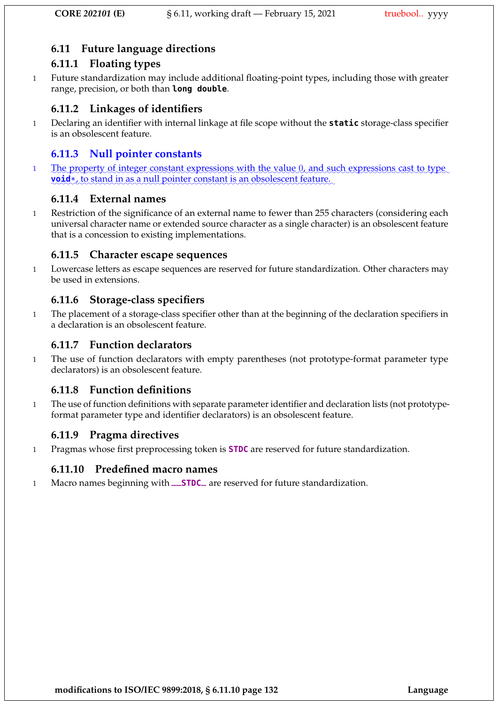# **6.11 Future language directions**

# **6.11.1 Floating types**

1 Future standardization may include additional floating-point types, including those with greater range, precision, or both than **long double**.

# **6.11.2 Linkages of identifiers**

1 Declaring an identifier with internal linkage at file scope without the **static** storage-class specifier is an obsolescent feature.

# **6.11.3 Null pointer constants**

1 The property of integer constant expressions with the value 0, and such expressions cast to type **void**\*, to stand in as a null pointer constant is an obsolescent feature.

# **6.11.4 External names**

1 Restriction of the significance of an external name to fewer than 255 characters (considering each universal character name or extended source character as a single character) is an obsolescent feature that is a concession to existing implementations.

# **6.11.5 Character escape sequences**

1 Lowercase letters as escape sequences are reserved for future standardization. Other characters may be used in extensions.

# **6.11.6 Storage-class specifiers**

1 The placement of a storage-class specifier other than at the beginning of the declaration specifiers in a declaration is an obsolescent feature.

# **6.11.7 Function declarators**

1 The use of function declarators with empty parentheses (not prototype-format parameter type declarators) is an obsolescent feature.

# **6.11.8 Function definitions**

1 The use of function definitions with separate parameter identifier and declaration lists (not prototypeformat parameter type and identifier declarators) is an obsolescent feature.

# **6.11.9 Pragma directives**

1 Pragmas whose first preprocessing token is **STDC** are reserved for future standardization.

# **6.11.10 Predefined macro names**

<sup>1</sup> Macro names beginning with **\_\_STDC\_** are reserved for future standardization.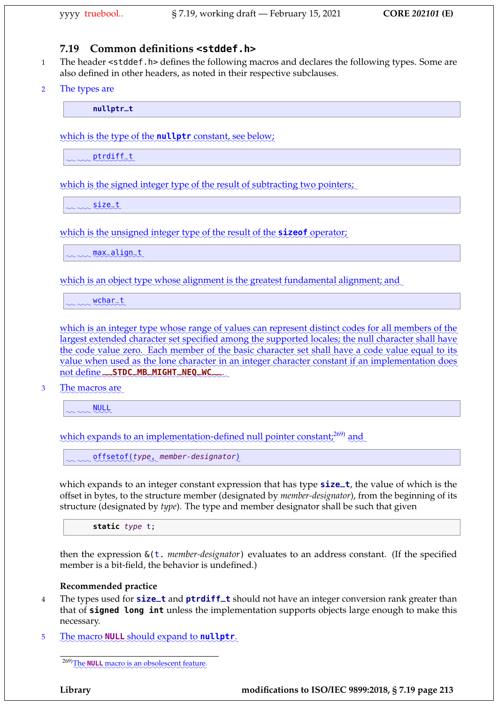# **7.19 Common definitions <stddef.h>**

- 1 The header <stddef.h> defines the following macros and declares the following types. Some are also defined in other headers, as noted in their respective subclauses.
- 2 The types are

**nullptr\_t**

which is the type of the **nullptr** constant, see below;

mmptrdiff\_t

which is the signed integer type of the result of subtracting two pointers;

 $\sim \infty$ size\_t

which is the unsigned integer type of the result of the **sizeof** operator;

max\_align\_t

which is an object type whose alignment is the greatest fundamental alignment; and

wchart

which is an integer type whose range of values can represent distinct codes for all members of the largest extended character set specified among the supported locales; the null character shall have the code value zero. Each member of the basic character set shall have a code value equal to its value when used as the lone character in an integer character constant if an implementation does not define \_\_STDC\_MB\_MIGHT\_NEQ\_WC\_\_\_.

3 The macros are

www.<u>NULL</u>

which expands to an implementation-defined null pointer constant;<sup>269)</sup> and

 $\sim$   $\sim$  offsetof(type, member-designator)

which expands to an integer constant expression that has type **size\_t**, the value of which is the offset in bytes, to the structure member (designated by *member-designator*), from the beginning of its structure (designated by *type*). The type and member designator shall be such that given

**static** type t;

then the expression &(t. *member-designator*) evaluates to an address constant. (If the specified member is a bit-field, the behavior is undefined.)

#### **Recommended practice**

- <sup>4</sup> The types used for **size\_t** and **ptrdiff\_t** should not have an integer conversion rank greater than that of **signed long int** unless the implementation supports objects large enough to make this necessary.
- 5 The macro **NULL** should expand to **nullptr**.

**Library modifications to ISO/IEC 9899:2018, § 7.19 page 213**

<sup>&</sup>lt;sup>269)</sup>The **NULL** macro is an obsolescent feature.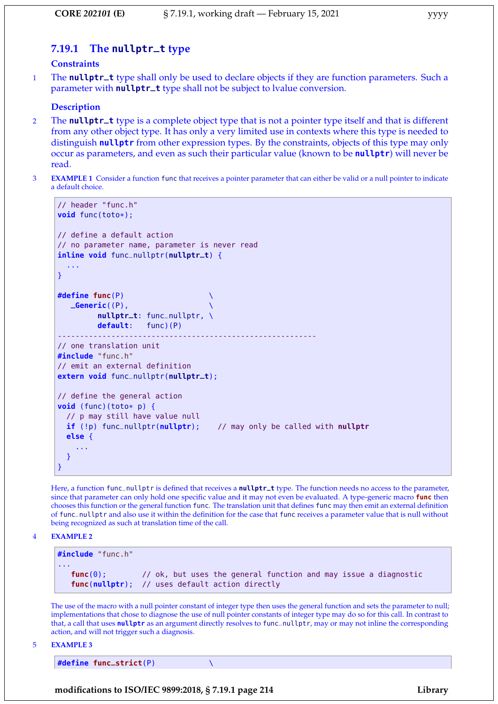# **7.19.1 The nullptr\_t type**

#### **Constraints**

<sup>1</sup> The **nullptr\_t** type shall only be used to declare objects if they are function parameters. Such a parameter with **nullptr\_t** type shall not be subject to lvalue conversion.

#### **Description**

- <sup>2</sup> The **nullptr\_t** type is a complete object type that is not a pointer type itself and that is different from any other object type. It has only a very limited use in contexts where this type is needed to distinguish **nullptr** from other expression types. By the constraints, objects of this type may only occur as parameters, and even as such their particular value (known to be **nullptr**) will never be read.
- 3 **EXAMPLE 1** Consider a function func that receives a pointer parameter that can either be valid or a null pointer to indicate a default choice.

```
// header "func.h"
void func(toto*);
// define a default action
// no parameter name, parameter is never read
inline void func_nullptr(nullptr_t) {
  ...
}
#define func(P) \
   _Generic((P), \
         nullptr_t: func_nullptr, \
         default: func)(P)
----------------------------------------------------------
// one translation unit
#include "func.h"
// emit an external definition
extern void func_nullptr(nullptr_t);
// define the general action
void (func)(toto* p) {
  // p may still have value null
  if (!p) func_nullptr(nullptr); // may only be called with nullptr
  else {
    ...
  }
}
```
Here, a function func\_nullptr is defined that receives a **nullptr\_t** type. The function needs no access to the parameter, since that parameter can only hold one specific value and it may not even be evaluated. A type-generic macro **func** then chooses this function or the general function func. The translation unit that defines func may then emit an external definition of func\_nullptr and also use it within the definition for the case that func receives a parameter value that is null without being recognized as such at translation time of the call.

#### 4 **EXAMPLE 2**

```
#include "func.h"
...
  func(0); // ok, but uses the general function and may issue a diagnostic
  func(nullptr); // uses default action directly
```
The use of the macro with a null pointer constant of integer type then uses the general function and sets the parameter to null; implementations that chose to diagnose the use of null pointer constants of integer type may do so for this call. In contrast to that, a call that uses **nullptr** as an argument directly resolves to func\_nullptr, may or may not inline the corresponding action, and will not trigger such a diagnosis.

5 **EXAMPLE 3**

**#define func\_strict**(P) \

**modifications to ISO/IEC 9899:2018, § 7.19.1 page 214 Library**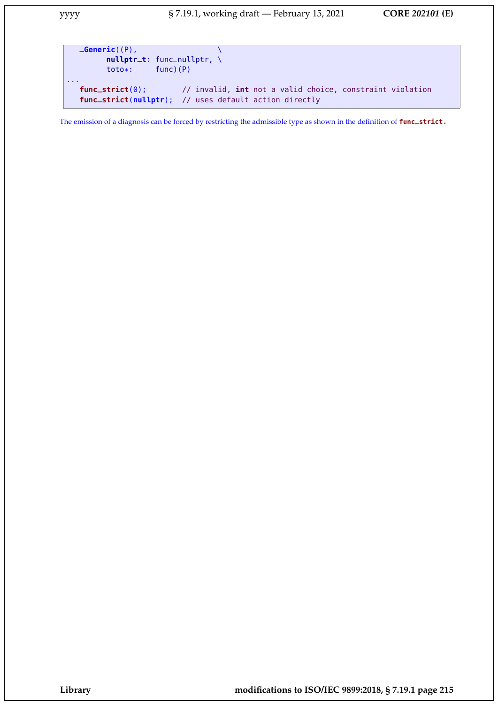```
_Generic((P), \
        nullptr_t: func_nullptr, \
        toto*: func)(P)
...
  func_strict(0); // invalid, int not a valid choice, constraint violation
  func_strict(nullptr); // uses default action directly
```
The emission of a diagnosis can be forced by restricting the admissible type as shown in the definition of **func\_strict.**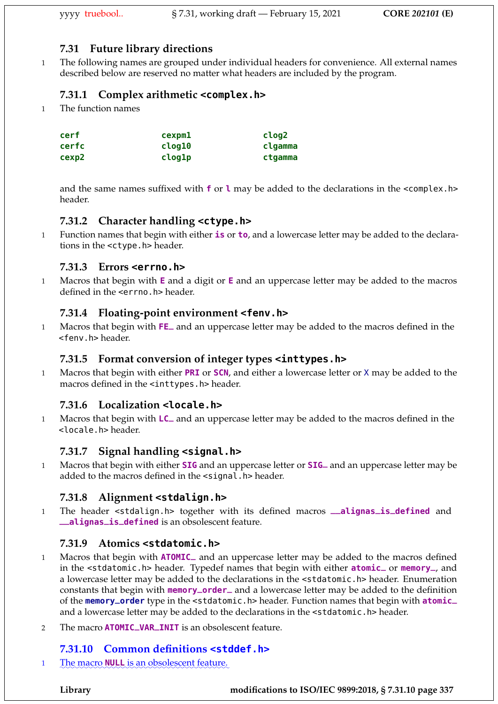# **7.31 Future library directions**

1 The following names are grouped under individual headers for convenience. All external names described below are reserved no matter what headers are included by the program.

# **7.31.1 Complex arithmetic <complex.h>**

1 The function names

| cerf  | cexpm1 | clog <sub>2</sub> |
|-------|--------|-------------------|
| cerfc | clog10 | clgamma           |
| cexp2 | clog1p | ctgamma           |

and the same names suffixed with **f** or **l** may be added to the declarations in the <complex.h> header.

# **7.31.2 Character handling <ctype.h>**

1 Function names that begin with either **is** or **to**, and a lowercase letter may be added to the declarations in the <ctype.h> header.

# **7.31.3 Errors <errno.h>**

1 Macros that begin with **E** and a digit or **E** and an uppercase letter may be added to the macros defined in the **serrno**.h> header.

# **7.31.4 Floating-point environment <fenv.h>**

<sup>1</sup> Macros that begin with **FE\_** and an uppercase letter may be added to the macros defined in the <fenv.h> header.

# **7.31.5 Format conversion of integer types <inttypes.h>**

1 Macros that begin with either **PRI** or **SCN**, and either a lowercase letter or X may be added to the macros defined in the <inttypes.h> header.

# **7.31.6 Localization <locale.h>**

<sup>1</sup> Macros that begin with **LC\_** and an uppercase letter may be added to the macros defined in the <locale.h> header.

# **7.31.7 Signal handling <signal.h>**

<sup>1</sup> Macros that begin with either **SIG** and an uppercase letter or **SIG\_** and an uppercase letter may be added to the macros defined in the <signal.h> header.

# **7.31.8 Alignment <stdalign.h>**

<sup>1</sup> The header <stdalign.h> together with its defined macros **\_\_alignas\_is\_defined** and **\_\_alignas\_is\_defined** is an obsolescent feature.

# **7.31.9 Atomics <stdatomic.h>**

- <sup>1</sup> Macros that begin with **ATOMIC\_** and an uppercase letter may be added to the macros defined in the <stdatomic.h> header. Typedef names that begin with either **atomic\_** or **memory\_**, and a lowercase letter may be added to the declarations in the <stdatomic.h> header. Enumeration constants that begin with **memory\_order\_** and a lowercase letter may be added to the definition of the **memory\_order** type in the <stdatomic.h> header. Function names that begin with **atomic\_** and a lowercase letter may be added to the declarations in the <stdatomic.h> header.
- <sup>2</sup> The macro **ATOMIC\_VAR\_INIT** is an obsolescent feature.

# **7.31.10 Common definitions <stddef.h>**

1 The macro **NULL** is an obsolescent feature.